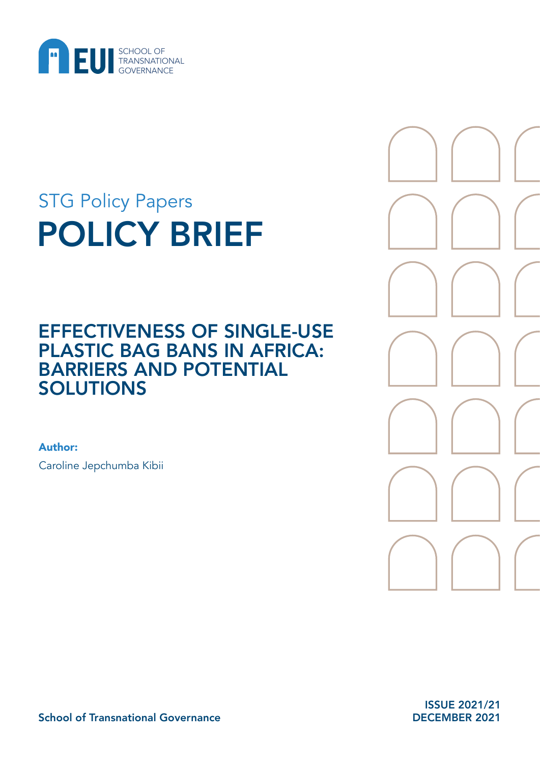

# POLICY BRIEF STG Policy Papers

## EFFECTIVENESS OF SINGLE-USE PLASTIC BAG BANS IN AFRICA: BARRIERS AND POTENTIAL SOLUTIONS

Author:

Caroline Jepchumba Kibii



ISSUE 2021/21 DECEMBER 2021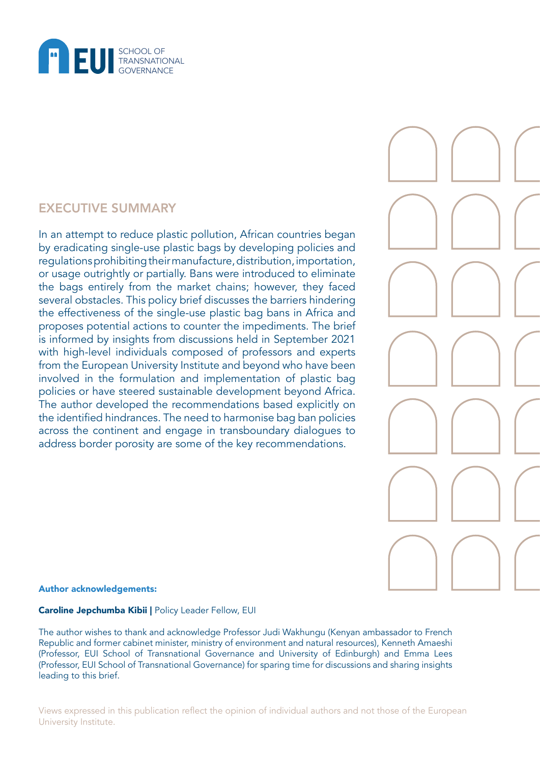

## EXECUTIVE SUMMARY

In an attempt to reduce plastic pollution, African countries began by eradicating single-use plastic bags by developing policies and regulations prohibiting their manufacture, distribution, importation, or usage outrightly or partially. Bans were introduced to eliminate the bags entirely from the market chains; however, they faced several obstacles. This policy brief discusses the barriers hindering the effectiveness of the single-use plastic bag bans in Africa and proposes potential actions to counter the impediments. The brief is informed by insights from discussions held in September 2021 with high-level individuals composed of professors and experts from the European University Institute and beyond who have been involved in the formulation and implementation of plastic bag policies or have steered sustainable development beyond Africa. The author developed the recommendations based explicitly on the identified hindrances. The need to harmonise bag ban policies across the continent and engage in transboundary dialogues to address border porosity are some of the key recommendations.



#### Author acknowledgements:

#### Caroline Jepchumba Kibii | Policy Leader Fellow, EUI

The author wishes to thank and acknowledge Professor Judi Wakhungu (Kenyan ambassador to French Republic and former cabinet minister, ministry of environment and natural resources), Kenneth Amaeshi (Professor, EUI School of Transnational Governance and University of Edinburgh) and Emma Lees (Professor, EUI School of Transnational Governance) for sparing time for discussions and sharing insights leading to this brief.

Views expressed in this publication reflect the opinion of individual authors and not those of the European University Institute.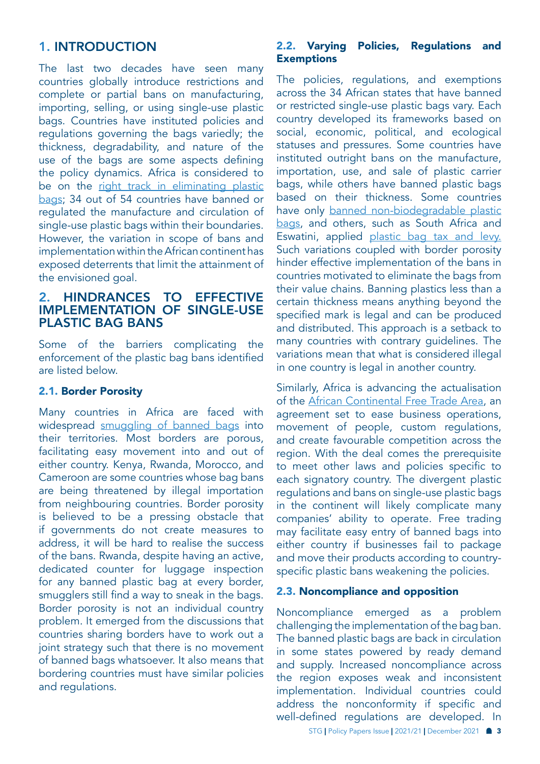## 1. INTRODUCTION

The last two decades have seen many countries globally introduce restrictions and complete or partial bans on manufacturing, importing, selling, or using single-use plastic bags. Countries have instituted policies and regulations governing the bags variedly; the thickness, degradability, and nature of the use of the bags are some aspects defining the policy dynamics. Africa is considered to be on the right track in eliminating plastic [bags;](https://wedocs.unep.org/bitstream/handle/20.500.11822/25869/ROA_May-June2018.pdf?isAllowed=y&sequence=1) 34 out of 54 countries have banned or regulated the manufacture and circulation of single-use plastic bags within their boundaries. However, the variation in scope of bans and implementation within the African continent has exposed deterrents that limit the attainment of the envisioned goal.

## 2. HINDRANCES TO EFFECTIVE IMPLEMENTATION OF SINGLE-USE PLASTIC BAG BANS

Some of the barriers complicating the enforcement of the plastic bag bans identified are listed below.

## 2.1. Border Porosity

Many countries in Africa are faced with widespread [smuggling of banned bags](https://www.unep.org/news-and-stories/story/how-smuggling-threatens-undermine-kenyas-plastic-bag-ban) into their territories. Most borders are porous, facilitating easy movement into and out of either country. Kenya, Rwanda, Morocco, and Cameroon are some countries whose bag bans are being threatened by illegal importation from neighbouring countries. Border porosity is believed to be a pressing obstacle that if governments do not create measures to address, it will be hard to realise the success of the bans. Rwanda, despite having an active, dedicated counter for luggage inspection for any banned plastic bag at every border, smugglers still find a way to sneak in the bags. Border porosity is not an individual country problem. It emerged from the discussions that countries sharing borders have to work out a joint strategy such that there is no movement of banned bags whatsoever. It also means that bordering countries must have similar policies and regulations.

## 2.2. Varying Policies, Regulations and **Exemptions**

The policies, regulations, and exemptions across the 34 African states that have banned or restricted single-use plastic bags vary. Each country developed its frameworks based on social, economic, political, and ecological statuses and pressures. Some countries have instituted outright bans on the manufacture, importation, use, and sale of plastic carrier bags, while others have banned plastic bags based on their thickness. Some countries have only [banned non-biodegradable plastic](https://nicholasinstitute.duke.edu/sites/default/files/plastics-policies/2419_TR_Final_Mali 2014 plastic bag ban.pdf)  [bags,](https://nicholasinstitute.duke.edu/sites/default/files/plastics-policies/2419_TR_Final_Mali 2014 plastic bag ban.pdf) and others, such as South Africa and Eswatini, applied [plastic bag tax and levy.](http://www.scielo.org.za/scielo.php?script=sci_arttext&pid=S1684-19992021000100001) Such variations coupled with border porosity hinder effective implementation of the bans in countries motivated to eliminate the bags from their value chains. Banning plastics less than a certain thickness means anything beyond the specified mark is legal and can be produced and distributed. This approach is a setback to many countries with contrary guidelines. The variations mean that what is considered illegal in one country is legal in another country.

Similarly, Africa is advancing the actualisation of the [African Continental Free Trade Area](https://openknowledge.worldbank.org/bitstream/handle/10986/34139/9781464815591.pdf), an agreement set to ease business operations, movement of people, custom regulations, and create favourable competition across the region. With the deal comes the prerequisite to meet other laws and policies specific to each signatory country. The divergent plastic regulations and bans on single-use plastic bags in the continent will likely complicate many companies' ability to operate. Free trading may facilitate easy entry of banned bags into either country if businesses fail to package and move their products according to countryspecific plastic bans weakening the policies.

#### 2.3. Noncompliance and opposition

Noncompliance emerged as a problem challenging the implementation of the bag ban. The banned plastic bags are back in circulation in some states powered by ready demand and supply. Increased noncompliance across the region exposes weak and inconsistent implementation. Individual countries could address the nonconformity if specific and well-defined regulations are developed. In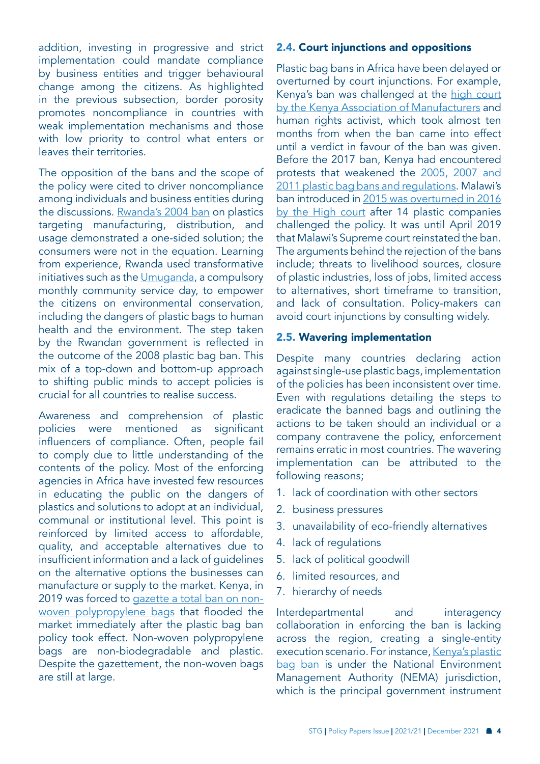addition, investing in progressive and strict implementation could mandate compliance by business entities and trigger behavioural change among the citizens. As highlighted in the previous subsection, border porosity promotes noncompliance in countries with weak implementation mechanisms and those with low priority to control what enters or leaves their territories.

The opposition of the bans and the scope of the policy were cited to driver noncompliance among individuals and business entities during the discussions. [Rwanda's 2004 ban](https://europa.eu/capacity4dev/file/107396/download?token=mcdVZI9q) on plastics targeting manufacturing, distribution, and usage demonstrated a one-sided solution; the consumers were not in the equation. Learning from experience, Rwanda used transformative initiatives such as the [Umuganda](https://www.no-burn.org/wp-content/uploads/Rwanda_A-global-leader-in-plastic-pollution-reduction_April-2021.pdf), a compulsory monthly community service day, to empower the citizens on environmental conservation, including the dangers of plastic bags to human health and the environment. The step taken by the Rwandan government is reflected in the outcome of the 2008 plastic bag ban. This mix of a top-down and bottom-up approach to shifting public minds to accept policies is crucial for all countries to realise success.

Awareness and comprehension of plastic policies were mentioned as significant influencers of compliance. Often, people fail to comply due to little understanding of the contents of the policy. Most of the enforcing agencies in Africa have invested few resources in educating the public on the dangers of plastics and solutions to adopt at an individual, communal or institutional level. This point is reinforced by limited access to affordable, quality, and acceptable alternatives due to insufficient information and a lack of guidelines on the alternative options the businesses can manufacture or supply to the market. Kenya, in 2019 was forced to [gazette a total ban on non](https://www.nema.go.ke/index.php?option=com_content&view=article&id=281:ban-on-manufacture-importation-supplydistribution-and-use-of-non-woven-polypropylene-bags-in-kenya&catid=2&Itemid=432)[woven polypropylene bags](https://www.nema.go.ke/index.php?option=com_content&view=article&id=281:ban-on-manufacture-importation-supplydistribution-and-use-of-non-woven-polypropylene-bags-in-kenya&catid=2&Itemid=432) that flooded the market immediately after the plastic bag ban policy took effect. Non-woven polypropylene bags are non-biodegradable and plastic. Despite the gazettement, the non-woven bags are still at large.

#### 2.4. Court injunctions and oppositions

Plastic bag bans in Africa have been delayed or overturned by court injunctions. For example, Kenya's ban was challenged at the high court [by the Kenya Association of Manufacturers](http://kenyalaw.org/caselaw/cases/view/155269) and human rights activist, which took almost ten months from when the ban came into effect until a verdict in favour of the ban was given. Before the 2017 ban, Kenya had encountered protests that weakened the [2005, 2007 and](https://journals.sagepub.com/doi/full/10.1177/2399654421994836)  [2011 plastic bag bans and regulations.](https://journals.sagepub.com/doi/full/10.1177/2399654421994836) Malawi's ban introduced in 2015 was overturned in 2016 [by the High court](https://www.mw.undp.org/content/malawi/en/home/presscenter/articles/2018/04/23/malawi--on-the-brink-of-momentous-change-on-plastic-pollution.html) after 14 plastic companies challenged the policy. It was until April 2019 that Malawi's Supreme court reinstated the ban. The arguments behind the rejection of the bans include; threats to livelihood sources, closure of plastic industries, loss of jobs, limited access to alternatives, short timeframe to transition, and lack of consultation. Policy-makers can avoid court injunctions by consulting widely.

#### 2.5. Wavering implementation

Despite many countries declaring action against single-use plastic bags, implementation of the policies has been inconsistent over time. Even with regulations detailing the steps to eradicate the banned bags and outlining the actions to be taken should an individual or a company contravene the policy, enforcement remains erratic in most countries. The wavering implementation can be attributed to the following reasons;

- 1. lack of coordination with other sectors
- 2. business pressures
- 3. unavailability of eco-friendly alternatives
- 4. lack of regulations
- 5. lack of political goodwill
- 6. limited resources, and
- 7. hierarchy of needs

Interdepartmental and interagency collaboration in enforcing the ban is lacking across the region, creating a single-entity execution scenario. For instance, Kenya's plastic [bag ban](https://www.nema.go.ke/index.php?option=com_content&view=article&id=102&Itemid=121) is under the National Environment Management Authority (NEMA) jurisdiction, which is the principal government instrument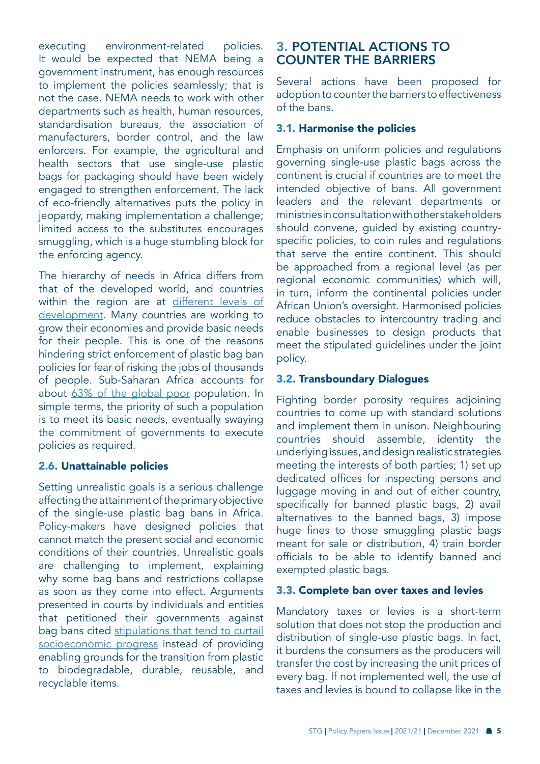executing environment-related policies. It would be expected that NEMA being a government instrument, has enough resources to implement the policies seamlessly; that is not the case. NEMA needs to work with other departments such as health, human resources, standardisation bureaus, the association of manufacturers, border control, and the law enforcers. For example, the agricultural and health sectors that use single-use plastic bags for packaging should have been widely engaged to strengthen enforcement. The lack of eco-friendly alternatives puts the policy in jeopardy, making implementation a challenge; limited access to the substitutes encourages smuggling, which is a huge stumbling block for the enforcing agency.

The hierarchy of needs in Africa differs from that of the developed world, and countries within the region are at different levels of [development.](https://www.worldbank.org/en/region/afr/overview) Many countries are working to grow their economies and provide basic needs for their people. This is one of the reasons hindering strict enforcement of plastic bag ban policies for fear of risking the jobs of thousands of people. Sub-Saharan Africa accounts for about [63% of the global poor](https://blogs.worldbank.org/opendata/where-extreme-poor-live) population. In simple terms, the priority of such a population is to meet its basic needs, eventually swaying the commitment of governments to execute policies as required.

## 2.6. Unattainable policies

Setting unrealistic goals is a serious challenge affecting the attainment of the primary objective of the single-use plastic bag bans in Africa. Policy-makers have designed policies that cannot match the present social and economic conditions of their countries. Unrealistic goals are challenging to implement, explaining why some bag bans and restrictions collapse as soon as they come into effect. Arguments presented in courts by individuals and entities that petitioned their governments against bag bans cited [stipulations that tend to curtail](http://kenyalaw.org/caselaw/cases/view/155269)  [socioeconomic progress](http://kenyalaw.org/caselaw/cases/view/155269) instead of providing enabling grounds for the transition from plastic to biodegradable, durable, reusable, and recyclable items.

## 3. POTENTIAL ACTIONS TO COUNTER THE BARRIERS

Several actions have been proposed for adoption to counter the barriers to effectiveness of the bans.

## 3.1. Harmonise the policies

Emphasis on uniform policies and regulations governing single-use plastic bags across the continent is crucial if countries are to meet the intended objective of bans. All government leaders and the relevant departments or ministries in consultation with other stakeholders should convene, guided by existing countryspecific policies, to coin rules and regulations that serve the entire continent. This should be approached from a regional level (as per regional economic communities) which will, in turn, inform the continental policies under African Union's oversight. Harmonised policies reduce obstacles to intercountry trading and enable businesses to design products that meet the stipulated guidelines under the joint policy.

## 3.2. Transboundary Dialogues

Fighting border porosity requires adjoining countries to come up with standard solutions and implement them in unison. Neighbouring countries should assemble, identity the underlying issues, and design realistic strategies meeting the interests of both parties; 1) set up dedicated offices for inspecting persons and luggage moving in and out of either country, specifically for banned plastic bags, 2) avail alternatives to the banned bags, 3) impose huge fines to those smuggling plastic bags meant for sale or distribution, 4) train border officials to be able to identify banned and exempted plastic bags.

## 3.3. Complete ban over taxes and levies

Mandatory taxes or levies is a short-term solution that does not stop the production and distribution of single-use plastic bags. In fact, it burdens the consumers as the producers will transfer the cost by increasing the unit prices of every bag. If not implemented well, the use of taxes and levies is bound to collapse like in the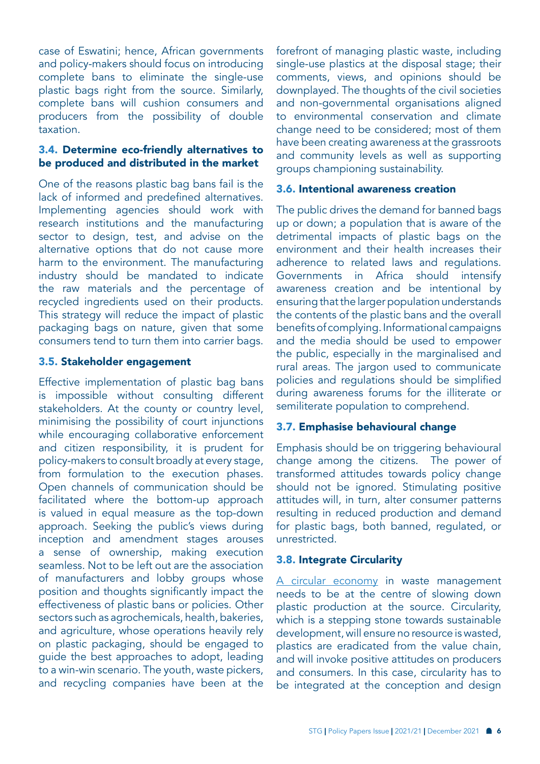case of Eswatini; hence, African governments and policy-makers should focus on introducing complete bans to eliminate the single-use plastic bags right from the source. Similarly, complete bans will cushion consumers and producers from the possibility of double taxation.

## 3.4. Determine eco-friendly alternatives to be produced and distributed in the market

One of the reasons plastic bag bans fail is the lack of informed and predefined alternatives. Implementing agencies should work with research institutions and the manufacturing sector to design, test, and advise on the alternative options that do not cause more harm to the environment. The manufacturing industry should be mandated to indicate the raw materials and the percentage of recycled ingredients used on their products. This strategy will reduce the impact of plastic packaging bags on nature, given that some consumers tend to turn them into carrier bags.

## 3.5. Stakeholder engagement

Effective implementation of plastic bag bans is impossible without consulting different stakeholders. At the county or country level, minimising the possibility of court injunctions while encouraging collaborative enforcement and citizen responsibility, it is prudent for policy-makers to consult broadly at every stage, from formulation to the execution phases. Open channels of communication should be facilitated where the bottom-up approach is valued in equal measure as the top-down approach. Seeking the public's views during inception and amendment stages arouses a sense of ownership, making execution seamless. Not to be left out are the association of manufacturers and lobby groups whose position and thoughts significantly impact the effectiveness of plastic bans or policies. Other sectors such as agrochemicals, health, bakeries, and agriculture, whose operations heavily rely on plastic packaging, should be engaged to guide the best approaches to adopt, leading to a win-win scenario. The youth, waste pickers, and recycling companies have been at the

forefront of managing plastic waste, including single-use plastics at the disposal stage; their comments, views, and opinions should be downplayed. The thoughts of the civil societies and non-governmental organisations aligned to environmental conservation and climate change need to be considered; most of them have been creating awareness at the grassroots and community levels as well as supporting groups championing sustainability.

## 3.6. Intentional awareness creation

The public drives the demand for banned bags up or down; a population that is aware of the detrimental impacts of plastic bags on the environment and their health increases their adherence to related laws and regulations. Governments in Africa should intensify awareness creation and be intentional by ensuring that the larger population understands the contents of the plastic bans and the overall benefits of complying. Informational campaigns and the media should be used to empower the public, especially in the marginalised and rural areas. The jargon used to communicate policies and regulations should be simplified during awareness forums for the illiterate or semiliterate population to comprehend.

## 3.7. Emphasise behavioural change

Emphasis should be on triggering behavioural change among the citizens. The power of transformed attitudes towards policy change should not be ignored. Stimulating positive attitudes will, in turn, alter consumer patterns resulting in reduced production and demand for plastic bags, both banned, regulated, or unrestricted.

## 3.8. Integrate Circularity

[A circular economy](https://ec.europa.eu/jrc/en/research-topic/waste-and-recycling) in waste management needs to be at the centre of slowing down plastic production at the source. Circularity, which is a stepping stone towards sustainable development, will ensure no resource is wasted, plastics are eradicated from the value chain, and will invoke positive attitudes on producers and consumers. In this case, circularity has to be integrated at the conception and design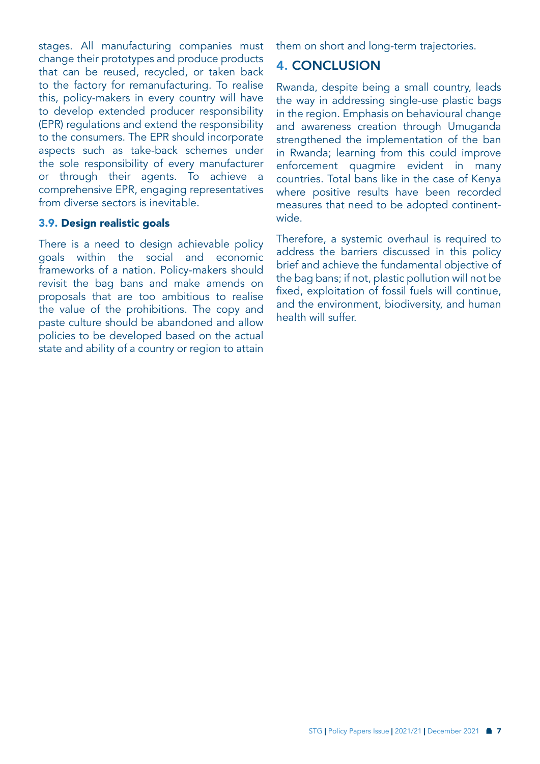stages. All manufacturing companies must change their prototypes and produce products that can be reused, recycled, or taken back to the factory for remanufacturing. To realise this, policy-makers in every country will have to develop extended producer responsibility (EPR) regulations and extend the responsibility to the consumers. The EPR should incorporate aspects such as take-back schemes under the sole responsibility of every manufacturer or through their agents. To achieve a comprehensive EPR, engaging representatives from diverse sectors is inevitable.

### 3.9. Design realistic goals

There is a need to design achievable policy goals within the social and economic frameworks of a nation. Policy-makers should revisit the bag bans and make amends on proposals that are too ambitious to realise the value of the prohibitions. The copy and paste culture should be abandoned and allow policies to be developed based on the actual state and ability of a country or region to attain

them on short and long-term trajectories.

## 4. CONCLUSION

Rwanda, despite being a small country, leads the way in addressing single-use plastic bags in the region. Emphasis on behavioural change and awareness creation through Umuganda strengthened the implementation of the ban in Rwanda; learning from this could improve enforcement quagmire evident in many countries. Total bans like in the case of Kenya where positive results have been recorded measures that need to be adopted continentwide.

Therefore, a systemic overhaul is required to address the barriers discussed in this policy brief and achieve the fundamental objective of the bag bans; if not, plastic pollution will not be fixed, exploitation of fossil fuels will continue, and the environment, biodiversity, and human health will suffer.